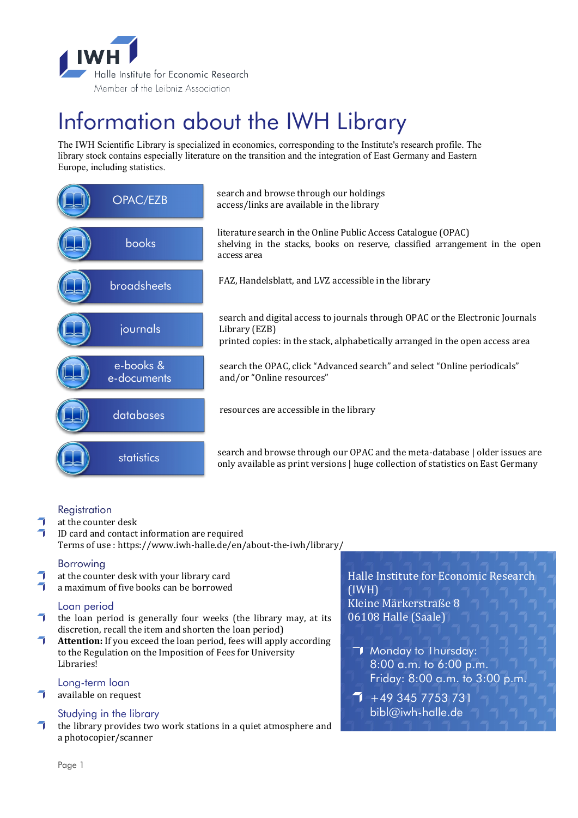

# Information about the IWH Library

The IWH Scientific Library is specialized in economics, corresponding to the Institute's research profile. The library stock contains especially literature on the transition and the integration of East Germany and Eastern Europe, including statistics.

| OPAC/EZB                 | search and browse through our holdings<br>access/links are available in the library                                                                                             |
|--------------------------|---------------------------------------------------------------------------------------------------------------------------------------------------------------------------------|
| books                    | literature search in the Online Public Access Catalogue (OPAC)<br>shelving in the stacks, books on reserve, classified arrangement in the open<br>access area                   |
| broadsheets              | FAZ, Handelsblatt, and LVZ accessible in the library                                                                                                                            |
| journals                 | search and digital access to journals through OPAC or the Electronic Journals<br>Library (EZB)<br>printed copies: in the stack, alphabetically arranged in the open access area |
| e-books &<br>e-documents | search the OPAC, click "Advanced search" and select "Online periodicals"<br>and/or "Online resources"                                                                           |
| databases                | resources are accessible in the library                                                                                                                                         |
| statistics               | search and browse through our OPAC and the meta-database   older issues are<br>only available as print versions   huge collection of statistics on East Germany                 |

### **Registration**

- $\overline{\mathcal{A}}$ at the counter desk
- $\overline{\phantom{a}}$ ID card and contact information are required Terms of use : https://www.iwh-halle.de/en/about-the-iwh/library/

### Borrowing

- at the counter desk with your library card
- a maximum of five books can be borrowed

### Loan period

- $\bullet$  the loan period is generally four weeks (the library may, at its discretion, recall the item and shorten the loan period)
- $\mathcal{L}$ **Attention:** If you exceed the loan period, fees will apply according to the Regulation on the Imposition of Fees for University Libraries!

### Long-term loan

 $\overline{\mathcal{L}}$ available on request

### Studying in the library

 $\mathcal{L}$ the library provides two work stations in a quiet atmosphere and a photocopier/scanner

Halle Institute for Economic Research (IWH) Kleine Märkerstraße 8 06108 Halle (Saale)

- **T** Monday to Thursday: 8:00 a.m. to 6:00 p.m. Friday: 8:00 a.m. to 3:00 p.m.
- $\overline{1}$  +49 345 7753 731 bibl@iwh-halle.de